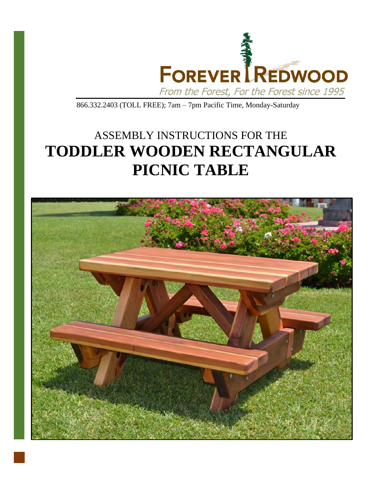

866.332.2403 (TOLL FREE); 7am – 7pm Pacific Time, Monday-Saturday

## ASSEMBLY INSTRUCTIONS FOR THE **TODDLER WOODEN RECTANGULAR PICNIC TABLE**

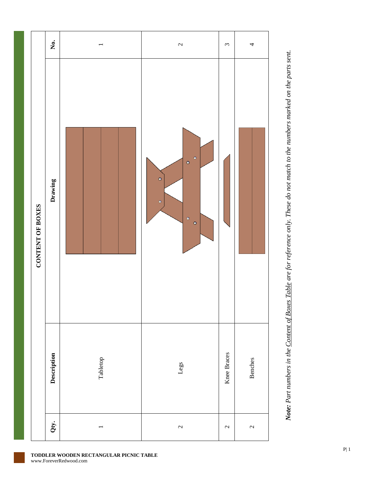



**TODDLER WOODEN RECTANGULAR PICNIC TABLE**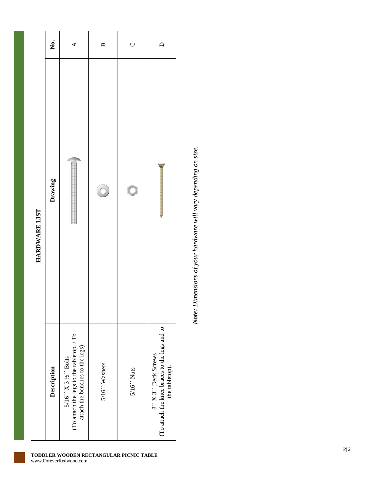|               | Ż.          | ≺                                                                                                                                              | $\mathbf{a}$  | $\cup$        | $\Box$                                                                                 |
|---------------|-------------|------------------------------------------------------------------------------------------------------------------------------------------------|---------------|---------------|----------------------------------------------------------------------------------------|
| HARDWARE LIST | Drawing     |                                                                                                                                                |               | Ç             |                                                                                        |
|               | Description | (To attach the legs to the table<br>top. / To $\,$<br>attach the benches to the legs).<br>$5/16''$ X 3 $\frac{1}{2}$ Y <sub>2</sub> $''$ Bolts | 5/16" Washers | $5/16''$ Nuts | (To attach the knee braces to the legs and to<br>8" X 3" Deck Screws<br>the tabletop). |

Note: Dimensions of your hardware will vary depending on size. *Note: Dimensions of your hardware will vary depending on size.*

**TODDLER WOODEN RECTANGULAR PICNIC TABLE**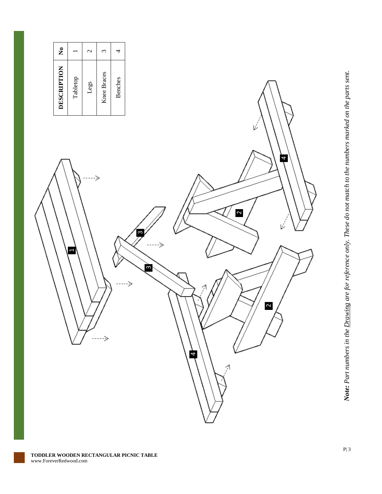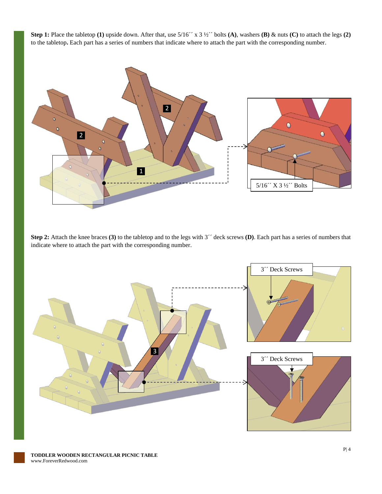**Step 1:** Place the tabletop **(1)** upside down. After that, use 5/16´´ x 3 ½´´ bolts **(A)**, washers **(B)** & nuts **(C)** to attach the legs **(2)** to the tabletop**.** Each part has a series of numbers that indicate where to attach the part with the corresponding number.



**Step 2:** Attach the knee braces **(3)** to the tabletop and to the legs with 3´´ deck screws **(D)**. Each part has a series of numbers that indicate where to attach the part with the corresponding number.

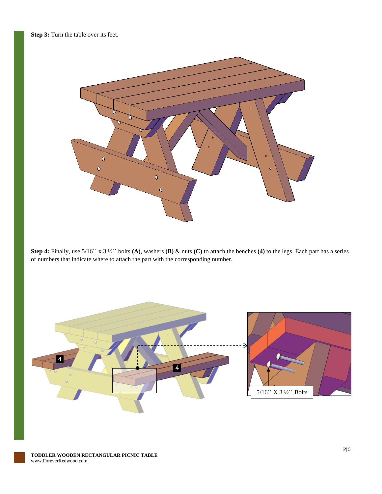

**Step 4:** Finally, use 5/16´´ x 3 ½´´ bolts **(A)**, washers **(B)** & nuts **(C)** to attach the benches **(4)** to the legs. Each part has a series of numbers that indicate where to attach the part with the corresponding number.